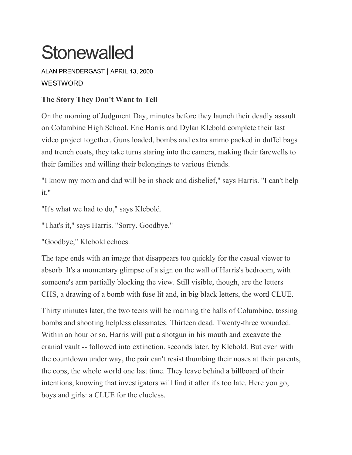# **Stonewalled**

ALAN [PRENDERGAST](https://www.westword.com/authors/alan-prendergast-5052731) | APRIL 13, 2000 **WESTWORD** 

## **The Story They Don't Want to Tell**

On the morning of Judgment Day, minutes before they launch their deadly assault on Columbine High School, Eric Harris and Dylan Klebold complete their last video project together. Guns loaded, bombs and extra ammo packed in duffel bags and trench coats, they take turns staring into the camera, making their farewells to their families and willing their belongings to various friends.

"I know my mom and dad will be in shock and disbelief," says Harris. "I can't help it."

"It's what we had to do," says Klebold.

"That's it," says Harris. "Sorry. Goodbye."

"Goodbye," Klebold echoes.

The tape ends with an image that disappears too quickly for the casual viewer to absorb. It's a momentary glimpse of a sign on the wall of Harris's bedroom, with someone's arm partially blocking the view. Still visible, though, are the letters CHS, a drawing of a bomb with fuse lit and, in big black letters, the word CLUE.

Thirty minutes later, the two teens will be roaming the halls of Columbine, tossing bombs and shooting helpless classmates. Thirteen dead. Twenty-three wounded. Within an hour or so, Harris will put a shotgun in his mouth and excavate the cranial vault -- followed into extinction, seconds later, by Klebold. But even with the countdown under way, the pair can't resist thumbing their noses at their parents, the cops, the whole world one last time. They leave behind a billboard of their intentions, knowing that investigators will find it after it's too late. Here you go, boys and girls: a CLUE for the clueless.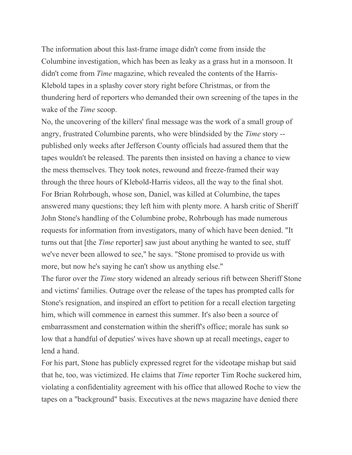The information about this last-frame image didn't come from inside the Columbine investigation, which has been as leaky as a grass hut in a monsoon. It didn't come from *Time* magazine, which revealed the contents of the Harris-Klebold tapes in a splashy cover story right before Christmas, or from the thundering herd of reporters who demanded their own screening of the tapes in the wake of the *Time* scoop.

No, the uncovering of the killers' final message was the work of a small group of angry, frustrated Columbine parents, who were blindsided by the *Time* story - published only weeks after Jefferson County officials had assured them that the tapes wouldn't be released. The parents then insisted on having a chance to view the mess themselves. They took notes, rewound and freeze-framed their way through the three hours of Klebold-Harris videos, all the way to the final shot. For Brian Rohrbough, whose son, Daniel, was killed at Columbine, the tapes answered many questions; they left him with plenty more. A harsh critic of Sheriff John Stone's handling of the Columbine probe, Rohrbough has made numerous requests for information from investigators, many of which have been denied. "It turns out that [the *Time* reporter] saw just about anything he wanted to see, stuff we've never been allowed to see," he says. "Stone promised to provide us with more, but now he's saying he can't show us anything else."

The furor over the *Time* story widened an already serious rift between Sheriff Stone and victims' families. Outrage over the release of the tapes has prompted calls for Stone's resignation, and inspired an effort to petition for a recall election targeting him, which will commence in earnest this summer. It's also been a source of embarrassment and consternation within the sheriff's office; morale has sunk so low that a handful of deputies' wives have shown up at recall meetings, eager to lend a hand.

For his part, Stone has publicly expressed regret for the videotape mishap but said that he, too, was victimized. He claims that *Time* reporter Tim Roche suckered him, violating a confidentiality agreement with his office that allowed Roche to view the tapes on a "background" basis. Executives at the news magazine have denied there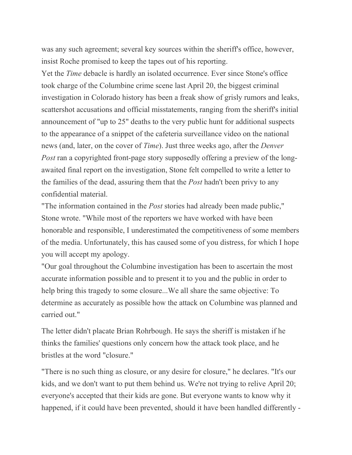was any such agreement; several key sources within the sheriff's office, however, insist Roche promised to keep the tapes out of his reporting.

Yet the *Time* debacle is hardly an isolated occurrence. Ever since Stone's office took charge of the Columbine crime scene last April 20, the biggest criminal investigation in Colorado history has been a freak show of grisly rumors and leaks, scattershot accusations and official misstatements, ranging from the sheriff's initial announcement of "up to 25" deaths to the very public hunt for additional suspects to the appearance of a snippet of the cafeteria surveillance video on the national news (and, later, on the cover of *Time*). Just three weeks ago, after the *Denver Post* ran a copyrighted front-page story supposedly offering a preview of the longawaited final report on the investigation, Stone felt compelled to write a letter to the families of the dead, assuring them that the *Post* hadn't been privy to any confidential material.

"The information contained in the *Post* stories had already been made public," Stone wrote. "While most of the reporters we have worked with have been honorable and responsible, I underestimated the competitiveness of some members of the media. Unfortunately, this has caused some of you distress, for which I hope you will accept my apology.

"Our goal throughout the Columbine investigation has been to ascertain the most accurate information possible and to present it to you and the public in order to help bring this tragedy to some closure...We all share the same objective: To determine as accurately as possible how the attack on Columbine was planned and carried out."

The letter didn't placate Brian Rohrbough. He says the sheriff is mistaken if he thinks the families' questions only concern how the attack took place, and he bristles at the word "closure."

"There is no such thing as closure, or any desire for closure," he declares. "It's our kids, and we don't want to put them behind us. We're not trying to relive April 20; everyone's accepted that their kids are gone. But everyone wants to know why it happened, if it could have been prevented, should it have been handled differently -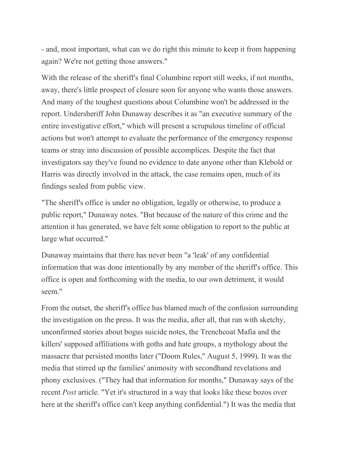- and, most important, what can we do right this minute to keep it from happening again? We're not getting those answers."

With the release of the sheriff's final Columbine report still weeks, if not months, away, there's little prospect of closure soon for anyone who wants those answers. And many of the toughest questions about Columbine won't be addressed in the report. Undersheriff John Dunaway describes it as "an executive summary of the entire investigative effort," which will present a scrupulous timeline of official actions but won't attempt to evaluate the performance of the emergency response teams or stray into discussion of possible accomplices. Despite the fact that investigators say they've found no evidence to date anyone other than Klebold or Harris was directly involved in the attack, the case remains open, much of its findings sealed from public view.

"The sheriff's office is under no obligation, legally or otherwise, to produce a public report," Dunaway notes. "But because of the nature of this crime and the attention it has generated, we have felt some obligation to report to the public at large what occurred."

Dunaway maintains that there has never been "a 'leak' of any confidential information that was done intentionally by any member of the sheriff's office. This office is open and forthcoming with the media, to our own detriment, it would seem."

From the outset, the sheriff's office has blamed much of the confusion surrounding the investigation on the press. It was the media, after all, that ran with sketchy, unconfirmed stories about bogus suicide notes, the Trenchcoat Mafia and the killers' supposed affiliations with goths and hate groups, a mythology about the massacre that persisted months later ("Doom Rules," August 5, 1999). It was the media that stirred up the families' animosity with secondhand revelations and phony exclusives. ("They had that information for months," Dunaway says of the recent *Post* article. "Yet it's structured in a way that looks like these bozos over here at the sheriff's office can't keep anything confidential.") It was the media that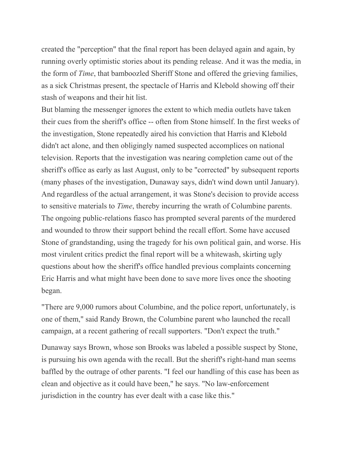created the "perception" that the final report has been delayed again and again, by running overly optimistic stories about its pending release. And it was the media, in the form of *Time*, that bamboozled Sheriff Stone and offered the grieving families, as a sick Christmas present, the spectacle of Harris and Klebold showing off their stash of weapons and their hit list.

But blaming the messenger ignores the extent to which media outlets have taken their cues from the sheriff's office -- often from Stone himself. In the first weeks of the investigation, Stone repeatedly aired his conviction that Harris and Klebold didn't act alone, and then obligingly named suspected accomplices on national television. Reports that the investigation was nearing completion came out of the sheriff's office as early as last August, only to be "corrected" by subsequent reports (many phases of the investigation, Dunaway says, didn't wind down until January). And regardless of the actual arrangement, it was Stone's decision to provide access to sensitive materials to *Time*, thereby incurring the wrath of Columbine parents. The ongoing public-relations fiasco has prompted several parents of the murdered and wounded to throw their support behind the recall effort. Some have accused Stone of grandstanding, using the tragedy for his own political gain, and worse. His most virulent critics predict the final report will be a whitewash, skirting ugly questions about how the sheriff's office handled previous complaints concerning Eric Harris and what might have been done to save more lives once the shooting began.

"There are 9,000 rumors about Columbine, and the police report, unfortunately, is one of them," said Randy Brown, the Columbine parent who launched the recall campaign, at a recent gathering of recall supporters. "Don't expect the truth."

Dunaway says Brown, whose son Brooks was labeled a possible suspect by Stone, is pursuing his own agenda with the recall. But the sheriff's right-hand man seems baffled by the outrage of other parents. "I feel our handling of this case has been as clean and objective as it could have been," he says. "No law-enforcement jurisdiction in the country has ever dealt with a case like this."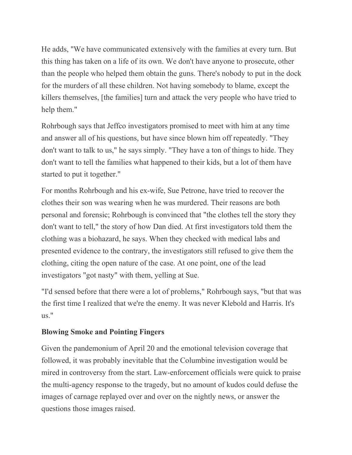He adds, "We have communicated extensively with the families at every turn. But this thing has taken on a life of its own. We don't have anyone to prosecute, other than the people who helped them obtain the guns. There's nobody to put in the dock for the murders of all these children. Not having somebody to blame, except the killers themselves, [the families] turn and attack the very people who have tried to help them."

Rohrbough says that Jeffco investigators promised to meet with him at any time and answer all of his questions, but have since blown him off repeatedly. "They don't want to talk to us," he says simply. "They have a ton of things to hide. They don't want to tell the families what happened to their kids, but a lot of them have started to put it together."

For months Rohrbough and his ex-wife, Sue Petrone, have tried to recover the clothes their son was wearing when he was murdered. Their reasons are both personal and forensic; Rohrbough is convinced that "the clothes tell the story they don't want to tell," the story of how Dan died. At first investigators told them the clothing was a biohazard, he says. When they checked with medical labs and presented evidence to the contrary, the investigators still refused to give them the clothing, citing the open nature of the case. At one point, one of the lead investigators "got nasty" with them, yelling at Sue.

"I'd sensed before that there were a lot of problems," Rohrbough says, "but that was the first time I realized that we're the enemy. It was never Klebold and Harris. It's us."

#### **Blowing Smoke and Pointing Fingers**

Given the pandemonium of April 20 and the emotional television coverage that followed, it was probably inevitable that the Columbine investigation would be mired in controversy from the start. Law-enforcement officials were quick to praise the multi-agency response to the tragedy, but no amount of kudos could defuse the images of carnage replayed over and over on the nightly news, or answer the questions those images raised.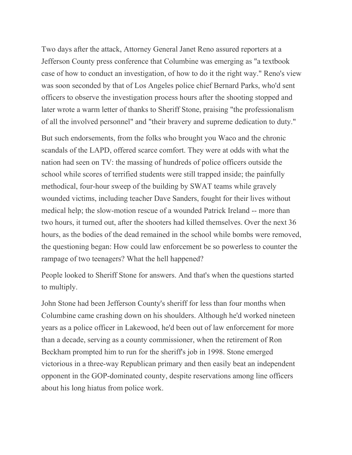Two days after the attack, Attorney General Janet Reno assured reporters at a Jefferson County press conference that Columbine was emerging as "a textbook case of how to conduct an investigation, of how to do it the right way." Reno's view was soon seconded by that of Los Angeles police chief Bernard Parks, who'd sent officers to observe the investigation process hours after the shooting stopped and later wrote a warm letter of thanks to Sheriff Stone, praising "the professionalism of all the involved personnel" and "their bravery and supreme dedication to duty."

But such endorsements, from the folks who brought you Waco and the chronic scandals of the LAPD, offered scarce comfort. They were at odds with what the nation had seen on TV: the massing of hundreds of police officers outside the school while scores of terrified students were still trapped inside; the painfully methodical, four-hour sweep of the building by SWAT teams while gravely wounded victims, including teacher Dave Sanders, fought for their lives without medical help; the slow-motion rescue of a wounded Patrick Ireland -- more than two hours, it turned out, after the shooters had killed themselves. Over the next 36 hours, as the bodies of the dead remained in the school while bombs were removed, the questioning began: How could law enforcement be so powerless to counter the rampage of two teenagers? What the hell happened?

People looked to Sheriff Stone for answers. And that's when the questions started to multiply.

John Stone had been Jefferson County's sheriff for less than four months when Columbine came crashing down on his shoulders. Although he'd worked nineteen years as a police officer in Lakewood, he'd been out of law enforcement for more than a decade, serving as a county commissioner, when the retirement of Ron Beckham prompted him to run for the sheriff's job in 1998. Stone emerged victorious in a three-way Republican primary and then easily beat an independent opponent in the GOP-dominated county, despite reservations among line officers about his long hiatus from police work.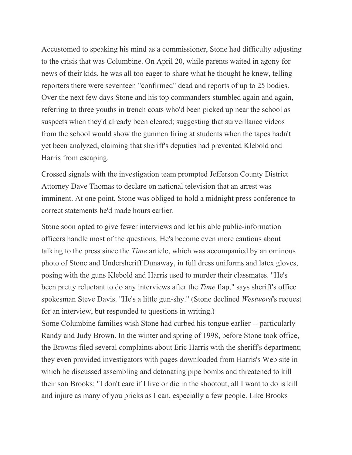Accustomed to speaking his mind as a commissioner, Stone had difficulty adjusting to the crisis that was Columbine. On April 20, while parents waited in agony for news of their kids, he was all too eager to share what he thought he knew, telling reporters there were seventeen "confirmed" dead and reports of up to 25 bodies. Over the next few days Stone and his top commanders stumbled again and again, referring to three youths in trench coats who'd been picked up near the school as suspects when they'd already been cleared; suggesting that surveillance videos from the school would show the gunmen firing at students when the tapes hadn't yet been analyzed; claiming that sheriff's deputies had prevented Klebold and Harris from escaping.

Crossed signals with the investigation team prompted Jefferson County District Attorney Dave Thomas to declare on national television that an arrest was imminent. At one point, Stone was obliged to hold a midnight press conference to correct statements he'd made hours earlier.

Stone soon opted to give fewer interviews and let his able public-information officers handle most of the questions. He's become even more cautious about talking to the press since the *Time* article, which was accompanied by an ominous photo of Stone and Undersheriff Dunaway, in full dress uniforms and latex gloves, posing with the guns Klebold and Harris used to murder their classmates. "He's been pretty reluctant to do any interviews after the *Time* flap," says sheriff's office spokesman Steve Davis. "He's a little gun-shy." (Stone declined *Westword*'s request for an interview, but responded to questions in writing.)

Some Columbine families wish Stone had curbed his tongue earlier -- particularly Randy and Judy Brown. In the winter and spring of 1998, before Stone took office, the Browns filed several complaints about Eric Harris with the sheriff's department; they even provided investigators with pages downloaded from Harris's Web site in which he discussed assembling and detonating pipe bombs and threatened to kill their son Brooks: "I don't care if I live or die in the shootout, all I want to do is kill and injure as many of you pricks as I can, especially a few people. Like Brooks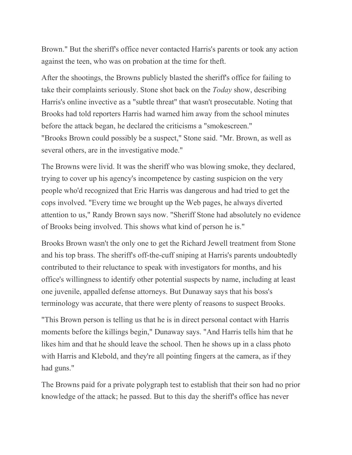Brown." But the sheriff's office never contacted Harris's parents or took any action against the teen, who was on probation at the time for theft.

After the shootings, the Browns publicly blasted the sheriff's office for failing to take their complaints seriously. Stone shot back on the *Today* show, describing Harris's online invective as a "subtle threat" that wasn't prosecutable. Noting that Brooks had told reporters Harris had warned him away from the school minutes before the attack began, he declared the criticisms a "smokescreen." "Brooks Brown could possibly be a suspect," Stone said. "Mr. Brown, as well as several others, are in the investigative mode."

The Browns were livid. It was the sheriff who was blowing smoke, they declared, trying to cover up his agency's incompetence by casting suspicion on the very people who'd recognized that Eric Harris was dangerous and had tried to get the cops involved. "Every time we brought up the Web pages, he always diverted attention to us," Randy Brown says now. "Sheriff Stone had absolutely no evidence of Brooks being involved. This shows what kind of person he is."

Brooks Brown wasn't the only one to get the Richard Jewell treatment from Stone and his top brass. The sheriff's off-the-cuff sniping at Harris's parents undoubtedly contributed to their reluctance to speak with investigators for months, and his office's willingness to identify other potential suspects by name, including at least one juvenile, appalled defense attorneys. But Dunaway says that his boss's terminology was accurate, that there were plenty of reasons to suspect Brooks.

"This Brown person is telling us that he is in direct personal contact with Harris moments before the killings begin," Dunaway says. "And Harris tells him that he likes him and that he should leave the school. Then he shows up in a class photo with Harris and Klebold, and they're all pointing fingers at the camera, as if they had guns."

The Browns paid for a private polygraph test to establish that their son had no prior knowledge of the attack; he passed. But to this day the sheriff's office has never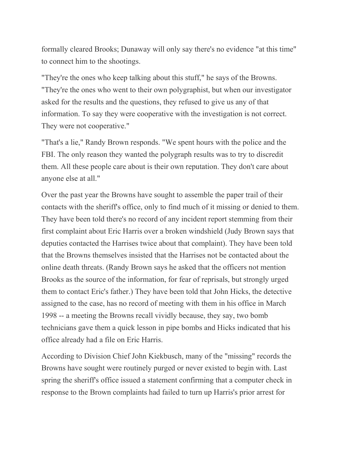formally cleared Brooks; Dunaway will only say there's no evidence "at this time" to connect him to the shootings.

"They're the ones who keep talking about this stuff," he says of the Browns. "They're the ones who went to their own polygraphist, but when our investigator asked for the results and the questions, they refused to give us any of that information. To say they were cooperative with the investigation is not correct. They were not cooperative."

"That's a lie," Randy Brown responds. "We spent hours with the police and the FBI. The only reason they wanted the polygraph results was to try to discredit them. All these people care about is their own reputation. They don't care about anyone else at all."

Over the past year the Browns have sought to assemble the paper trail of their contacts with the sheriff's office, only to find much of it missing or denied to them. They have been told there's no record of any incident report stemming from their first complaint about Eric Harris over a broken windshield (Judy Brown says that deputies contacted the Harrises twice about that complaint). They have been told that the Browns themselves insisted that the Harrises not be contacted about the online death threats. (Randy Brown says he asked that the officers not mention Brooks as the source of the information, for fear of reprisals, but strongly urged them to contact Eric's father.) They have been told that John Hicks, the detective assigned to the case, has no record of meeting with them in his office in March 1998 -- a meeting the Browns recall vividly because, they say, two bomb technicians gave them a quick lesson in pipe bombs and Hicks indicated that his office already had a file on Eric Harris.

According to Division Chief John Kiekbusch, many of the "missing" records the Browns have sought were routinely purged or never existed to begin with. Last spring the sheriff's office issued a statement confirming that a computer check in response to the Brown complaints had failed to turn up Harris's prior arrest for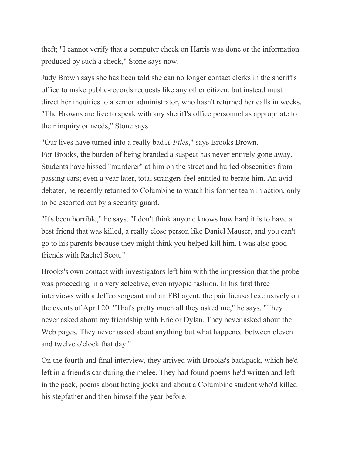theft; "I cannot verify that a computer check on Harris was done or the information produced by such a check," Stone says now.

Judy Brown says she has been told she can no longer contact clerks in the sheriff's office to make public-records requests like any other citizen, but instead must direct her inquiries to a senior administrator, who hasn't returned her calls in weeks. "The Browns are free to speak with any sheriff's office personnel as appropriate to their inquiry or needs," Stone says.

"Our lives have turned into a really bad *X-Files*," says Brooks Brown. For Brooks, the burden of being branded a suspect has never entirely gone away. Students have hissed "murderer" at him on the street and hurled obscenities from passing cars; even a year later, total strangers feel entitled to berate him. An avid debater, he recently returned to Columbine to watch his former team in action, only to be escorted out by a security guard.

"It's been horrible," he says. "I don't think anyone knows how hard it is to have a best friend that was killed, a really close person like Daniel Mauser, and you can't go to his parents because they might think you helped kill him. I was also good friends with Rachel Scott."

Brooks's own contact with investigators left him with the impression that the probe was proceeding in a very selective, even myopic fashion. In his first three interviews with a Jeffco sergeant and an FBI agent, the pair focused exclusively on the events of April 20. "That's pretty much all they asked me," he says. "They never asked about my friendship with Eric or Dylan. They never asked about the Web pages. They never asked about anything but what happened between eleven and twelve o'clock that day."

On the fourth and final interview, they arrived with Brooks's backpack, which he'd left in a friend's car during the melee. They had found poems he'd written and left in the pack, poems about hating jocks and about a Columbine student who'd killed his stepfather and then himself the year before.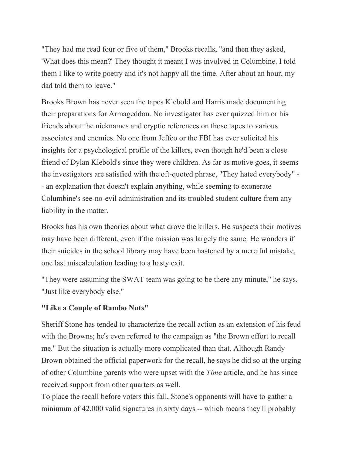"They had me read four or five of them," Brooks recalls, "and then they asked, 'What does this mean?' They thought it meant I was involved in Columbine. I told them I like to write poetry and it's not happy all the time. After about an hour, my dad told them to leave."

Brooks Brown has never seen the tapes Klebold and Harris made documenting their preparations for Armageddon. No investigator has ever quizzed him or his friends about the nicknames and cryptic references on those tapes to various associates and enemies. No one from Jeffco or the FBI has ever solicited his insights for a psychological profile of the killers, even though he'd been a close friend of Dylan Klebold's since they were children. As far as motive goes, it seems the investigators are satisfied with the oft-quoted phrase, "They hated everybody" - - an explanation that doesn't explain anything, while seeming to exonerate Columbine's see-no-evil administration and its troubled student culture from any liability in the matter.

Brooks has his own theories about what drove the killers. He suspects their motives may have been different, even if the mission was largely the same. He wonders if their suicides in the school library may have been hastened by a merciful mistake, one last miscalculation leading to a hasty exit.

"They were assuming the SWAT team was going to be there any minute," he says. "Just like everybody else."

### **"Like a Couple of Rambo Nuts"**

Sheriff Stone has tended to characterize the recall action as an extension of his feud with the Browns; he's even referred to the campaign as "the Brown effort to recall me." But the situation is actually more complicated than that. Although Randy Brown obtained the official paperwork for the recall, he says he did so at the urging of other Columbine parents who were upset with the *Time* article, and he has since received support from other quarters as well.

To place the recall before voters this fall, Stone's opponents will have to gather a minimum of 42,000 valid signatures in sixty days -- which means they'll probably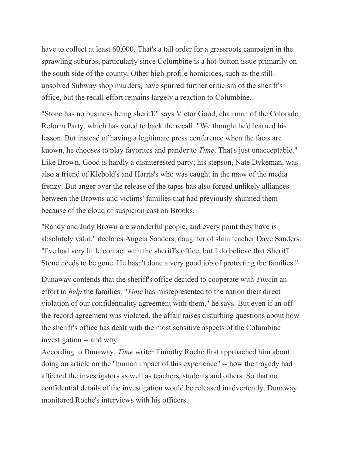have to collect at least 60,000. That's a tall order for a grassroots campaign in the sprawling suburbs, particularly since Columbine is a hot-button issue primarily on the south side of the county. Other high-profile homicides, such as the stillunsolved Subway shop murders, have spurred further criticism of the sheriff's office, but the recall effort remains largely a reaction to Columbine.

"Stone has no business being sheriff," says Victor Good, chairman of the Colorado Reform Party, which has voted to back the recall. "We thought he'd learned his lesson. But instead of having a legitimate press conference when the facts are known, he chooses to play favorites and pander to *Time*. That's just unacceptable." Like Brown, Good is hardly a disinterested party; his stepson, Nate Dykeman, was also a friend of Klebold's and Harris's who was caught in the maw of the media frenzy. But anger over the release of the tapes has also forged unlikely alliances between the Browns and victims' families that had previously shunned them because of the cloud of suspicion cast on Brooks.

"Randy and Judy Brown are wonderful people, and every point they have is absolutely valid," declares Angela Sanders, daughter of slain teacher Dave Sanders. "I've had very little contact with the sheriff's office, but I do believe that Sheriff Stone needs to be gone. He hasn't done a very good job of protecting the families."

Dunaway contends that the sheriff's office decided to cooperate with *Time*in an effort to *help* the families. "*Time* has misrepresented to the nation their direct violation of our confidentiality agreement with them," he says. But even if an offthe-record agreement was violated, the affair raises disturbing questions about how the sheriff's office has dealt with the most sensitive aspects of the Columbine investigation -- and why.

According to Dunaway, *Time* writer Timothy Roche first approached him about doing an article on the "human impact of this experience" -- how the tragedy had affected the investigators as well as teachers, students and others. So that no confidential details of the investigation would be released inadvertently, Dunaway monitored Roche's interviews with his officers.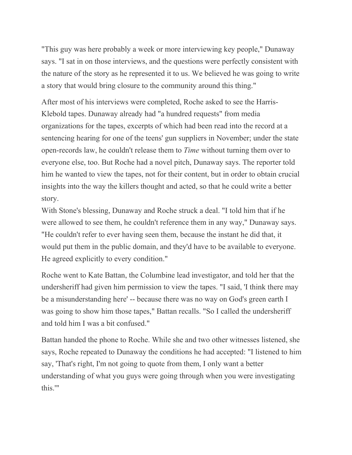"This guy was here probably a week or more interviewing key people," Dunaway says. "I sat in on those interviews, and the questions were perfectly consistent with the nature of the story as he represented it to us. We believed he was going to write a story that would bring closure to the community around this thing."

After most of his interviews were completed, Roche asked to see the Harris-Klebold tapes. Dunaway already had "a hundred requests" from media organizations for the tapes, excerpts of which had been read into the record at a sentencing hearing for one of the teens' gun suppliers in November; under the state open-records law, he couldn't release them to *Time* without turning them over to everyone else, too. But Roche had a novel pitch, Dunaway says. The reporter told him he wanted to view the tapes, not for their content, but in order to obtain crucial insights into the way the killers thought and acted, so that he could write a better story.

With Stone's blessing, Dunaway and Roche struck a deal. "I told him that if he were allowed to see them, he couldn't reference them in any way," Dunaway says. "He couldn't refer to ever having seen them, because the instant he did that, it would put them in the public domain, and they'd have to be available to everyone. He agreed explicitly to every condition."

Roche went to Kate Battan, the Columbine lead investigator, and told her that the undersheriff had given him permission to view the tapes. "I said, 'I think there may be a misunderstanding here' -- because there was no way on God's green earth I was going to show him those tapes," Battan recalls. "So I called the undersheriff and told him I was a bit confused."

Battan handed the phone to Roche. While she and two other witnesses listened, she says, Roche repeated to Dunaway the conditions he had accepted: "I listened to him say, 'That's right, I'm not going to quote from them, I only want a better understanding of what you guys were going through when you were investigating this.'"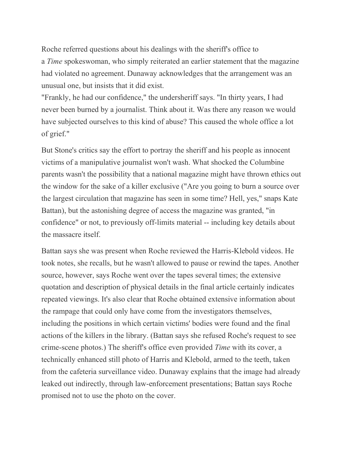Roche referred questions about his dealings with the sheriff's office to a *Time* spokeswoman, who simply reiterated an earlier statement that the magazine had violated no agreement. Dunaway acknowledges that the arrangement was an unusual one, but insists that it did exist.

"Frankly, he had our confidence," the undersheriff says. "In thirty years, I had never been burned by a journalist. Think about it. Was there any reason we would have subjected ourselves to this kind of abuse? This caused the whole office a lot of grief."

But Stone's critics say the effort to portray the sheriff and his people as innocent victims of a manipulative journalist won't wash. What shocked the Columbine parents wasn't the possibility that a national magazine might have thrown ethics out the window for the sake of a killer exclusive ("Are you going to burn a source over the largest circulation that magazine has seen in some time? Hell, yes," snaps Kate Battan), but the astonishing degree of access the magazine was granted, "in confidence" or not, to previously off-limits material -- including key details about the massacre itself.

Battan says she was present when Roche reviewed the Harris-Klebold videos. He took notes, she recalls, but he wasn't allowed to pause or rewind the tapes. Another source, however, says Roche went over the tapes several times; the extensive quotation and description of physical details in the final article certainly indicates repeated viewings. It's also clear that Roche obtained extensive information about the rampage that could only have come from the investigators themselves, including the positions in which certain victims' bodies were found and the final actions of the killers in the library. (Battan says she refused Roche's request to see crime-scene photos.) The sheriff's office even provided *Time* with its cover, a technically enhanced still photo of Harris and Klebold, armed to the teeth, taken from the cafeteria surveillance video. Dunaway explains that the image had already leaked out indirectly, through law-enforcement presentations; Battan says Roche promised not to use the photo on the cover.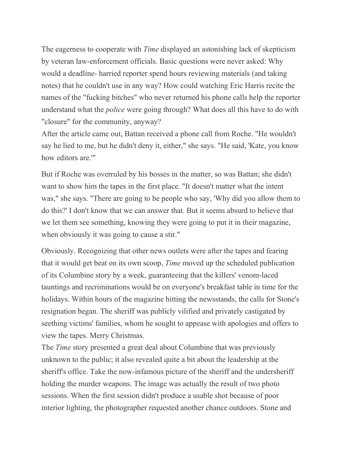The eagerness to cooperate with *Time* displayed an astonishing lack of skepticism by veteran law-enforcement officials. Basic questions were never asked: Why would a deadline- harried reporter spend hours reviewing materials (and taking notes) that he couldn't use in any way? How could watching Eric Harris recite the names of the "fucking bitches" who never returned his phone calls help the reporter understand what the *police* were going through? What does all this have to do with "closure" for the community, anyway?

After the article came out, Battan received a phone call from Roche. "He wouldn't say he lied to me, but he didn't deny it, either," she says. "He said, 'Kate, you know how editors are.'"

But if Roche was overruled by his bosses in the matter, so was Battan; she didn't want to show him the tapes in the first place. "It doesn't matter what the intent was," she says. "There are going to be people who say, 'Why did you allow them to do this?' I don't know that we can answer that. But it seems absurd to believe that we let them see something, knowing they were going to put it in their magazine, when obviously it was going to cause a stir."

Obviously. Recognizing that other news outlets were after the tapes and fearing that it would get beat on its own scoop, *Time* moved up the scheduled publication of its Columbine story by a week, guaranteeing that the killers' venom-laced tauntings and recriminations would be on everyone's breakfast table in time for the holidays. Within hours of the magazine hitting the newsstands, the calls for Stone's resignation began. The sheriff was publicly vilified and privately castigated by seething victims' families, whom he sought to appease with apologies and offers to view the tapes. Merry Christmas.

The *Time* story presented a great deal about Columbine that was previously unknown to the public; it also revealed quite a bit about the leadership at the sheriff's office. Take the now-infamous picture of the sheriff and the undersheriff holding the murder weapons. The image was actually the result of two photo sessions. When the first session didn't produce a usable shot because of poor interior lighting, the photographer requested another chance outdoors. Stone and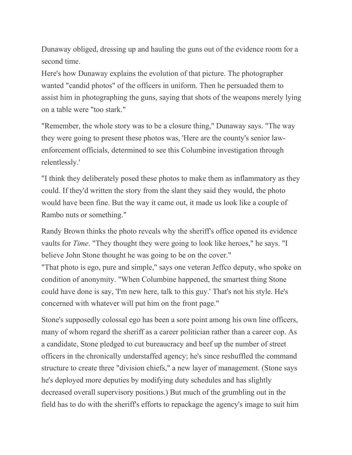Dunaway obliged, dressing up and hauling the guns out of the evidence room for a second time.

Here's how Dunaway explains the evolution of that picture. The photographer wanted "candid photos" of the officers in uniform. Then he persuaded them to assist him in photographing the guns, saying that shots of the weapons merely lying on a table were "too stark."

"Remember, the whole story was to be a closure thing," Dunaway says. "The way they were going to present these photos was, 'Here are the county's senior lawenforcement officials, determined to see this Columbine investigation through relentlessly.'

"I think they deliberately posed these photos to make them as inflammatory as they could. If they'd written the story from the slant they said they would, the photo would have been fine. But the way it came out, it made us look like a couple of Rambo nuts or something."

Randy Brown thinks the photo reveals why the sheriff's office opened its evidence vaults for *Time*. "They thought they were going to look like heroes," he says. "I believe John Stone thought he was going to be on the cover."

"That photo is ego, pure and simple," says one veteran Jeffco deputy, who spoke on condition of anonymity. "When Columbine happened, the smartest thing Stone could have done is say, 'I'm new here, talk to this guy.' That's not his style. He's concerned with whatever will put him on the front page."

Stone's supposedly colossal ego has been a sore point among his own line officers, many of whom regard the sheriff as a career politician rather than a career cop. As a candidate, Stone pledged to cut bureaucracy and beef up the number of street officers in the chronically understaffed agency; he's since reshuffled the command structure to create three "division chiefs," a new layer of management. (Stone says he's deployed more deputies by modifying duty schedules and has slightly decreased overall supervisory positions.) But much of the grumbling out in the field has to do with the sheriff's efforts to repackage the agency's image to suit him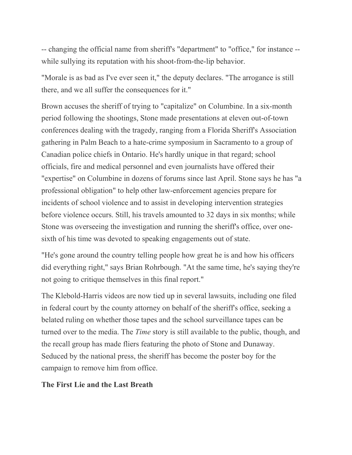-- changing the official name from sheriff's "department" to "office," for instance - while sullying its reputation with his shoot-from-the-lip behavior.

"Morale is as bad as I've ever seen it," the deputy declares. "The arrogance is still there, and we all suffer the consequences for it."

Brown accuses the sheriff of trying to "capitalize" on Columbine. In a six-month period following the shootings, Stone made presentations at eleven out-of-town conferences dealing with the tragedy, ranging from a Florida Sheriff's Association gathering in Palm Beach to a hate-crime symposium in Sacramento to a group of Canadian police chiefs in Ontario. He's hardly unique in that regard; school officials, fire and medical personnel and even journalists have offered their "expertise" on Columbine in dozens of forums since last April. Stone says he has "a professional obligation" to help other law-enforcement agencies prepare for incidents of school violence and to assist in developing intervention strategies before violence occurs. Still, his travels amounted to 32 days in six months; while Stone was overseeing the investigation and running the sheriff's office, over onesixth of his time was devoted to speaking engagements out of state.

"He's gone around the country telling people how great he is and how his officers did everything right," says Brian Rohrbough. "At the same time, he's saying they're not going to critique themselves in this final report."

The Klebold-Harris videos are now tied up in several lawsuits, including one filed in federal court by the county attorney on behalf of the sheriff's office, seeking a belated ruling on whether those tapes and the school surveillance tapes can be turned over to the media. The *Time* story is still available to the public, though, and the recall group has made fliers featuring the photo of Stone and Dunaway. Seduced by the national press, the sheriff has become the poster boy for the campaign to remove him from office.

#### **The First Lie and the Last Breath**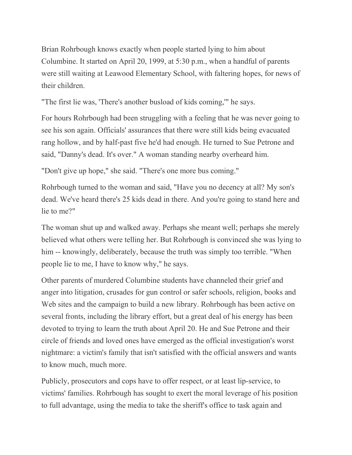Brian Rohrbough knows exactly when people started lying to him about Columbine. It started on April 20, 1999, at 5:30 p.m., when a handful of parents were still waiting at Leawood Elementary School, with faltering hopes, for news of their children.

"The first lie was, 'There's another busload of kids coming,'" he says.

For hours Rohrbough had been struggling with a feeling that he was never going to see his son again. Officials' assurances that there were still kids being evacuated rang hollow, and by half-past five he'd had enough. He turned to Sue Petrone and said, "Danny's dead. It's over." A woman standing nearby overheard him.

"Don't give up hope," she said. "There's one more bus coming."

Rohrbough turned to the woman and said, "Have you no decency at all? My son's dead. We've heard there's 25 kids dead in there. And you're going to stand here and lie to me?"

The woman shut up and walked away. Perhaps she meant well; perhaps she merely believed what others were telling her. But Rohrbough is convinced she was lying to him -- knowingly, deliberately, because the truth was simply too terrible. "When people lie to me, I have to know why," he says.

Other parents of murdered Columbine students have channeled their grief and anger into litigation, crusades for gun control or safer schools, religion, books and Web sites and the campaign to build a new library. Rohrbough has been active on several fronts, including the library effort, but a great deal of his energy has been devoted to trying to learn the truth about April 20. He and Sue Petrone and their circle of friends and loved ones have emerged as the official investigation's worst nightmare: a victim's family that isn't satisfied with the official answers and wants to know much, much more.

Publicly, prosecutors and cops have to offer respect, or at least lip-service, to victims' families. Rohrbough has sought to exert the moral leverage of his position to full advantage, using the media to take the sheriff's office to task again and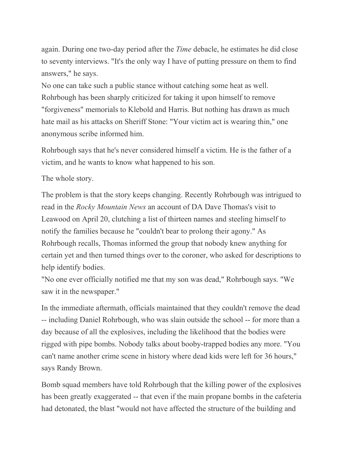again. During one two-day period after the *Time* debacle, he estimates he did close to seventy interviews. "It's the only way I have of putting pressure on them to find answers," he says.

No one can take such a public stance without catching some heat as well. Rohrbough has been sharply criticized for taking it upon himself to remove "forgiveness" memorials to Klebold and Harris. But nothing has drawn as much hate mail as his attacks on Sheriff Stone: "Your victim act is wearing thin," one anonymous scribe informed him.

Rohrbough says that he's never considered himself a victim. He is the father of a victim, and he wants to know what happened to his son.

The whole story.

The problem is that the story keeps changing. Recently Rohrbough was intrigued to read in the *Rocky Mountain News* an account of DA Dave Thomas's visit to Leawood on April 20, clutching a list of thirteen names and steeling himself to notify the families because he "couldn't bear to prolong their agony." As Rohrbough recalls, Thomas informed the group that nobody knew anything for certain yet and then turned things over to the coroner, who asked for descriptions to help identify bodies.

"No one ever officially notified me that my son was dead," Rohrbough says. "We saw it in the newspaper."

In the immediate aftermath, officials maintained that they couldn't remove the dead -- including Daniel Rohrbough, who was slain outside the school -- for more than a day because of all the explosives, including the likelihood that the bodies were rigged with pipe bombs. Nobody talks about booby-trapped bodies any more. "You can't name another crime scene in history where dead kids were left for 36 hours," says Randy Brown.

Bomb squad members have told Rohrbough that the killing power of the explosives has been greatly exaggerated -- that even if the main propane bombs in the cafeteria had detonated, the blast "would not have affected the structure of the building and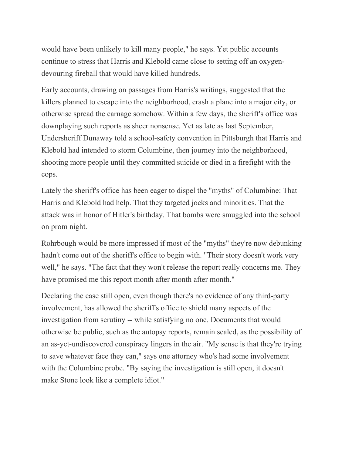would have been unlikely to kill many people," he says. Yet public accounts continue to stress that Harris and Klebold came close to setting off an oxygendevouring fireball that would have killed hundreds.

Early accounts, drawing on passages from Harris's writings, suggested that the killers planned to escape into the neighborhood, crash a plane into a major city, or otherwise spread the carnage somehow. Within a few days, the sheriff's office was downplaying such reports as sheer nonsense. Yet as late as last September, Undersheriff Dunaway told a school-safety convention in Pittsburgh that Harris and Klebold had intended to storm Columbine, then journey into the neighborhood, shooting more people until they committed suicide or died in a firefight with the cops.

Lately the sheriff's office has been eager to dispel the "myths" of Columbine: That Harris and Klebold had help. That they targeted jocks and minorities. That the attack was in honor of Hitler's birthday. That bombs were smuggled into the school on prom night.

Rohrbough would be more impressed if most of the "myths" they're now debunking hadn't come out of the sheriff's office to begin with. "Their story doesn't work very well," he says. "The fact that they won't release the report really concerns me. They have promised me this report month after month after month."

Declaring the case still open, even though there's no evidence of any third-party involvement, has allowed the sheriff's office to shield many aspects of the investigation from scrutiny -- while satisfying no one. Documents that would otherwise be public, such as the autopsy reports, remain sealed, as the possibility of an as-yet-undiscovered conspiracy lingers in the air. "My sense is that they're trying to save whatever face they can," says one attorney who's had some involvement with the Columbine probe. "By saying the investigation is still open, it doesn't make Stone look like a complete idiot."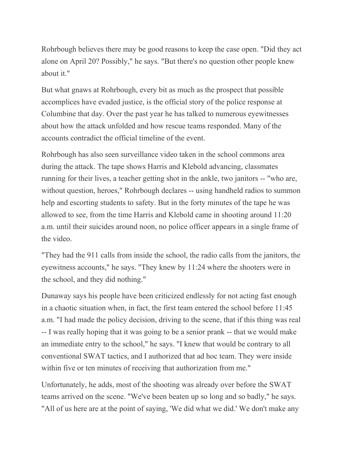Rohrbough believes there may be good reasons to keep the case open. "Did they act alone on April 20? Possibly," he says. "But there's no question other people knew about it."

But what gnaws at Rohrbough, every bit as much as the prospect that possible accomplices have evaded justice, is the official story of the police response at Columbine that day. Over the past year he has talked to numerous eyewitnesses about how the attack unfolded and how rescue teams responded. Many of the accounts contradict the official timeline of the event.

Rohrbough has also seen surveillance video taken in the school commons area during the attack. The tape shows Harris and Klebold advancing, classmates running for their lives, a teacher getting shot in the ankle, two janitors -- "who are, without question, heroes," Rohrbough declares -- using handheld radios to summon help and escorting students to safety. But in the forty minutes of the tape he was allowed to see, from the time Harris and Klebold came in shooting around 11:20 a.m. until their suicides around noon, no police officer appears in a single frame of the video.

"They had the 911 calls from inside the school, the radio calls from the janitors, the eyewitness accounts," he says. "They knew by 11:24 where the shooters were in the school, and they did nothing."

Dunaway says his people have been criticized endlessly for not acting fast enough in a chaotic situation when, in fact, the first team entered the school before 11:45 a.m. "I had made the policy decision, driving to the scene, that if this thing was real -- I was really hoping that it was going to be a senior prank -- that we would make an immediate entry to the school," he says. "I knew that would be contrary to all conventional SWAT tactics, and I authorized that ad hoc team. They were inside within five or ten minutes of receiving that authorization from me."

Unfortunately, he adds, most of the shooting was already over before the SWAT teams arrived on the scene. "We've been beaten up so long and so badly," he says. "All of us here are at the point of saying, 'We did what we did.' We don't make any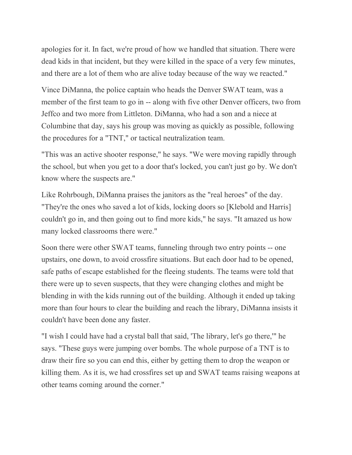apologies for it. In fact, we're proud of how we handled that situation. There were dead kids in that incident, but they were killed in the space of a very few minutes, and there are a lot of them who are alive today because of the way we reacted."

Vince DiManna, the police captain who heads the Denver SWAT team, was a member of the first team to go in -- along with five other Denver officers, two from Jeffco and two more from Littleton. DiManna, who had a son and a niece at Columbine that day, says his group was moving as quickly as possible, following the procedures for a "TNT," or tactical neutralization team.

"This was an active shooter response," he says. "We were moving rapidly through the school, but when you get to a door that's locked, you can't just go by. We don't know where the suspects are."

Like Rohrbough, DiManna praises the janitors as the "real heroes" of the day. "They're the ones who saved a lot of kids, locking doors so [Klebold and Harris] couldn't go in, and then going out to find more kids," he says. "It amazed us how many locked classrooms there were."

Soon there were other SWAT teams, funneling through two entry points -- one upstairs, one down, to avoid crossfire situations. But each door had to be opened, safe paths of escape established for the fleeing students. The teams were told that there were up to seven suspects, that they were changing clothes and might be blending in with the kids running out of the building. Although it ended up taking more than four hours to clear the building and reach the library, DiManna insists it couldn't have been done any faster.

"I wish I could have had a crystal ball that said, 'The library, let's go there,'" he says. "These guys were jumping over bombs. The whole purpose of a TNT is to draw their fire so you can end this, either by getting them to drop the weapon or killing them. As it is, we had crossfires set up and SWAT teams raising weapons at other teams coming around the corner."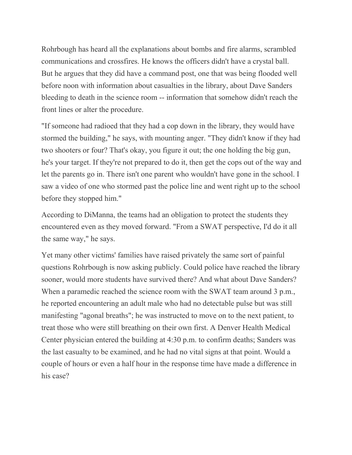Rohrbough has heard all the explanations about bombs and fire alarms, scrambled communications and crossfires. He knows the officers didn't have a crystal ball. But he argues that they did have a command post, one that was being flooded well before noon with information about casualties in the library, about Dave Sanders bleeding to death in the science room -- information that somehow didn't reach the front lines or alter the procedure.

"If someone had radioed that they had a cop down in the library, they would have stormed the building," he says, with mounting anger. "They didn't know if they had two shooters or four? That's okay, you figure it out; the one holding the big gun, he's your target. If they're not prepared to do it, then get the cops out of the way and let the parents go in. There isn't one parent who wouldn't have gone in the school. I saw a video of one who stormed past the police line and went right up to the school before they stopped him."

According to DiManna, the teams had an obligation to protect the students they encountered even as they moved forward. "From a SWAT perspective, I'd do it all the same way," he says.

Yet many other victims' families have raised privately the same sort of painful questions Rohrbough is now asking publicly. Could police have reached the library sooner, would more students have survived there? And what about Dave Sanders? When a paramedic reached the science room with the SWAT team around 3 p.m., he reported encountering an adult male who had no detectable pulse but was still manifesting "agonal breaths"; he was instructed to move on to the next patient, to treat those who were still breathing on their own first. A Denver Health Medical Center physician entered the building at 4:30 p.m. to confirm deaths; Sanders was the last casualty to be examined, and he had no vital signs at that point. Would a couple of hours or even a half hour in the response time have made a difference in his case?